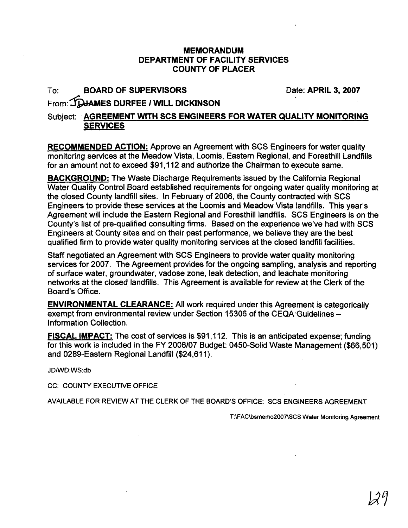## **MEMORANDUM DEPARTMENT OF FACILITY SERVICES COUNTY OF PLACER**

## To: **BOARD OF SUPERVISORS**

Date: **APRIL** 3, 2007

## From: JOJAMES DURFEE / WILL DICKINSON

## Subject: **AGREEMENT WITH SCS ENGINEERS FOR WATER QUALITY MONITORING SERVICES**

**RECOMMENDED ACTION:** Approve an Agreement with SCS Engineers for water quality monitoring services at the Meadow Vista, Loomis, Eastern Regional, and Foresthill Landfills for an amount not to exceed \$91,112 and authorize the Chairman to execute same.

**BACKGROUND:** The Waste Discharge Requirements issued by the California Regional Water Quality Control Board established requirements for ongoing water quality monitoring at the closed County landfill sites. In February of 2006, the County contracted with SCS Engineers to provide these services at the Loomis and Meadow Vista landfills. This year's Agreement will include the Eastern Regional and Foresthill landfills. SCS Engineers is on the County's list of pre-qualified consulting firms. Based on the experience we've had with SCS Engineers at County sites and on their past performance, we believe they are the best qualified firm to provide water quality monitoring services at the closed landfill facilities.

Staff negotiated an Agreement with SCS Engineers to provide water quality monitoring services for 2007. The Agreement provides for the ongoing sampling, analysis and reporting of surface water, groundwater, vadose zone, leak detection, and leachate monitoring networks at the closed landfills. This Agreement is available for review at the Clerk of the Board's Office.

**ENVIRONMENTAL CLEARANCE:** All work required under this Agreement is categorically exempt from environmental review under Section 15306 of the CEQA Guidelines lnformation Collection.

**FISCAL IMPACT:** The cost of services is \$91,112. This is an anticipated expense; funding for this work is included in the FY 2006/07 Budget: 0450-Solid Waste Management (\$66,501) and 0289-Eastern Regional Landfill (\$24,611).

JD/WD:WS:db

CC: COUNTY EXECUTIVE OFFICE

AVAILABLE FOR REVIEW AT THE CLERK OF THE BOARD'S OFFICE: SCS ENGINEERS AGREEMENT

T:\FAC\bsmemo2007\SCS Water Monitoring Agreement